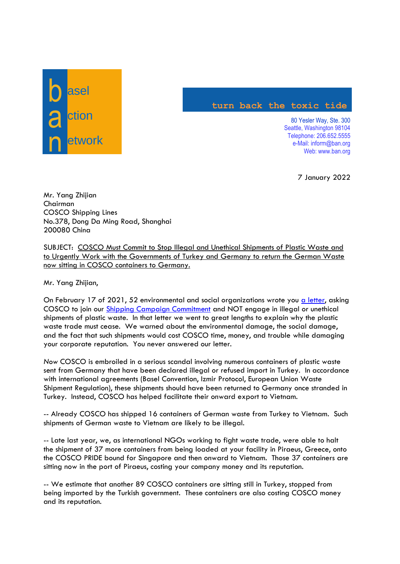

## **turn back the toxic tide**

80 Yesler Way, Ste. 300 Seattle, Washington 98104 Telephone: 206.652.5555 e-Mail: inform@ban.org Web: www.ban.org

7 January 2022

Mr. Yang Zhijian Chairman COSCO Shipping Lines No.378, Dong Da Ming Road, Shanghai 200080 China

SUBJECT: COSCO Must Commit to Stop Illegal and Unethical Shipments of Plastic Waste and to Urgently Work with the Governments of Turkey and Germany to return the German Waste now sitting in COSCO containers to Germany.

Mr. Yang Zhijian,

On February 17 of 2021, 52 environmental and social organizations wrote you [a letter,](http://wiki.ban.org/images/1/18/COSCO_Shipping_Letter_%28Feb_17_2021%29.pdf) asking COSCO to join our [Shipping Campaign Commitment](applewebdata://1899BFA7-1AAD-4F84-AB81-F4B1CAC0962C/Shipping%20Campaign) and NOT engage in illegal or unethical shipments of plastic waste. In that letter we went to great lengths to explain why the plastic waste trade must cease. We warned about the environmental damage, the social damage, and the fact that such shipments would cost COSCO time, money, and trouble while damaging your corporate reputation. You never answered our letter.

*Now* COSCO is embroiled in a serious scandal involving numerous containers of plastic waste sent from Germany that have been declared illegal or refused import in Turkey. In accordance with international agreements (Basel Convention, Izmir Protocol, European Union Waste Shipment Regulation), these shipments should have been returned to Germany once stranded in Turkey. Instead, COSCO has helped facilitate their onward export to Vietnam.

-- Already COSCO has shipped 16 containers of German waste from Turkey to Vietnam. Such shipments of German waste to Vietnam are likely to be illegal.

-- Late last year, we, as international NGOs working to fight waste trade, were able to halt the shipment of 37 more containers from being loaded at your facility in Piraeus, Greece, onto the COSCO PRIDE bound for Singapore and then onward to Vietnam. Those 37 containers are sitting now in the port of Piraeus, costing your company money and its reputation.

-- We estimate that another 89 COSCO containers are sitting still in Turkey, stopped from being imported by the Turkish government. These containers are also costing COSCO money and its reputation.